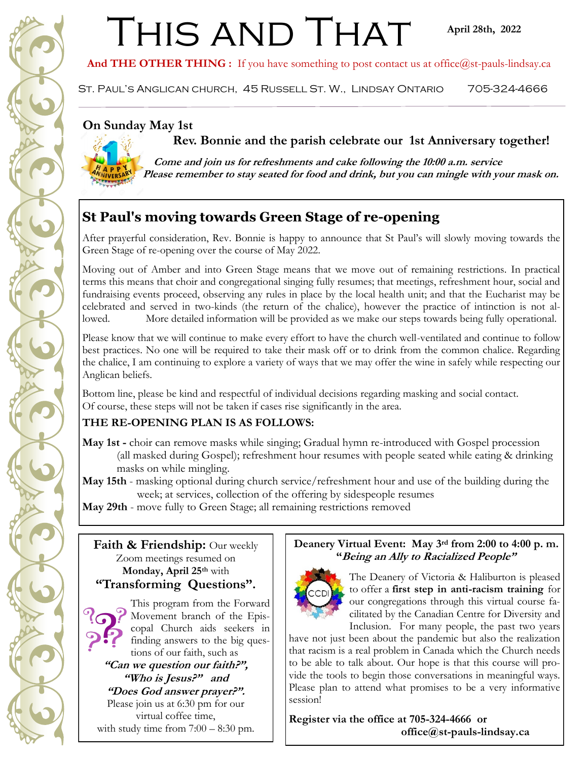# THIS AND THAT

And THE OTHER THING : If you have something to post contact us at office@st-pauls-lindsay.ca

St. Paul's Anglican church, 45 Russell St. W., Lindsay Ontario 705-324-4666

## **On Sunday May 1st**

 **Rev. Bonnie and the parish celebrate our 1st Anniversary together!**



 **Come and join us for refreshments and cake following the 10:00 a.m. service Please remember to stay seated for food and drink, but you can mingle with your mask on.**

## **St Paul's moving towards Green Stage of re-opening**

After prayerful consideration, Rev. Bonnie is happy to announce that St Paul's will slowly moving towards the Green Stage of re-opening over the course of May 2022.

Moving out of Amber and into Green Stage means that we move out of remaining restrictions. In practical terms this means that choir and congregational singing fully resumes; that meetings, refreshment hour, social and fundraising events proceed, observing any rules in place by the local health unit; and that the Eucharist may be celebrated and served in two-kinds (the return of the chalice), however the practice of intinction is not allowed. More detailed information will be provided as we make our steps towards being fully operational.

Please know that we will continue to make every effort to have the church well-ventilated and continue to follow best practices. No one will be required to take their mask off or to drink from the common chalice. Regarding the chalice, I am continuing to explore a variety of ways that we may offer the wine in safely while respecting our Anglican beliefs.

Bottom line, please be kind and respectful of individual decisions regarding masking and social contact. Of course, these steps will not be taken if cases rise significantly in the area.

## **THE RE-OPENING PLAN IS AS FOLLOWS:**

**May 1st -** choir can remove masks while singing; Gradual hymn re-introduced with Gospel procession (all masked during Gospel); refreshment hour resumes with people seated while eating & drinking masks on while mingling.

**May 15th** - masking optional during church service/refreshment hour and use of the building during the week; at services, collection of the offering by sidespeople resumes

**May 29th** - move fully to Green Stage; all remaining restrictions removed

## **Faith & Friendship:** Our weekly Zoom meetings resumed on **Monday, April 25th** with **"Transforming Questions".**



This program from the Forward Movement branch of the Episcopal Church aids seekers in finding answers to the big questions of our faith, such as

**"Can we question our faith?", "Who is Jesus?" and** 

**"Does God answer prayer?".** 

Please join us at 6:30 pm for our virtual coffee time,

with study time from  $7:00 - 8:30$  pm.

## **Deanery Virtual Event: May 3rd from 2:00 to 4:00 p. m. "Being an Ally to Racialized People"**



The Deanery of Victoria & Haliburton is pleased to offer a **first step in anti-racism training** for our congregations through this virtual course facilitated by the Canadian Centre for Diversity and Inclusion. For many people, the past two years

have not just been about the pandemic but also the realization that racism is a real problem in Canada which the Church needs to be able to talk about. Our hope is that this course will provide the tools to begin those conversations in meaningful ways. Please plan to attend what promises to be a very informative session!

**Register via the office at 705-324-4666 or office@st-pauls-lindsay.ca**